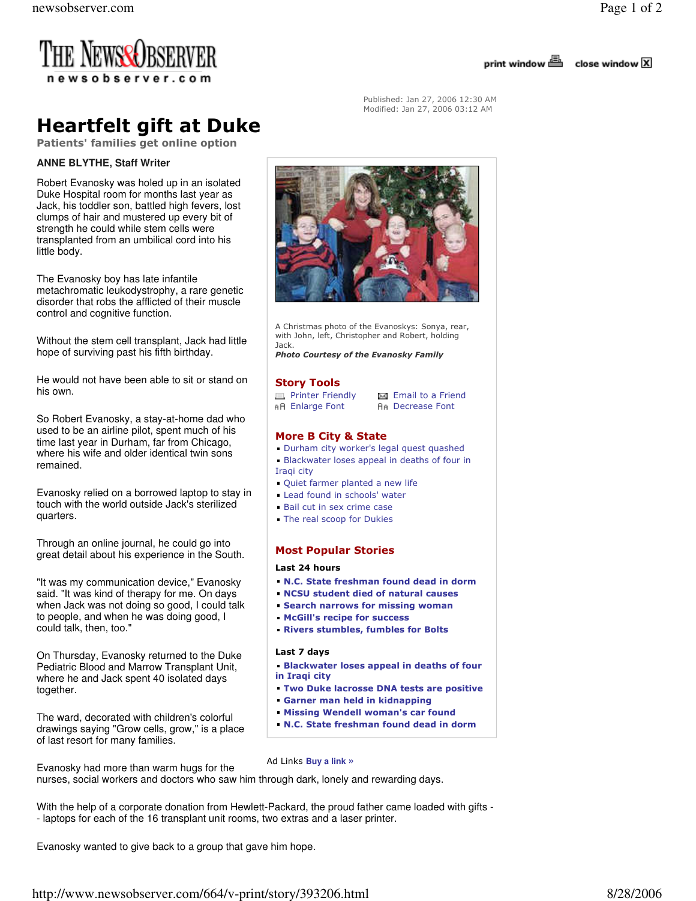

close window X



Heartfelt gift at Duke

Patients' families get online option

## **ANNE BLYTHE, Staff Writer**

Robert Evanosky was holed up in an isolated Duke Hospital room for months last year as Jack, his toddler son, battled high fevers, lost clumps of hair and mustered up every bit of strength he could while stem cells were transplanted from an umbilical cord into his little body.

The Evanosky boy has late infantile metachromatic leukodystrophy, a rare genetic disorder that robs the afflicted of their muscle control and cognitive function.

Without the stem cell transplant, Jack had little hope of surviving past his fifth birthday.

He would not have been able to sit or stand on his own.

So Robert Evanosky, a stay-at-home dad who used to be an airline pilot, spent much of his time last year in Durham, far from Chicago, where his wife and older identical twin sons remained.

Evanosky relied on a borrowed laptop to stay in touch with the world outside Jack's sterilized quarters.

Through an online journal, he could go into great detail about his experience in the South.

"It was my communication device," Evanosky said. "It was kind of therapy for me. On days when Jack was not doing so good, I could talk to people, and when he was doing good, I could talk, then, too."

On Thursday, Evanosky returned to the Duke Pediatric Blood and Marrow Transplant Unit, where he and Jack spent 40 isolated days together.

The ward, decorated with children's colorful drawings saying "Grow cells, grow," is a place of last resort for many families.



A Christmas photo of the Evanoskys: Sonya, rear, with John, left, Christopher and Robert, holding Jack.

Photo Courtesy of the Evanosky Family

## Story Tools

**El Printer Friendly Exi** Email to a Friend<br> **AR** Enlarge Font **AR** Decrease Font

**An Decrease Font** 

Published: Jan 27, 2006 12:30 AM Modified: Jan 27, 2006 03:12 AM

## More B City & State

- Durham city worker's legal quest quashed
- **Blackwater loses appeal in deaths of four in** Iraqi city
- Quiet farmer planted a new life
- **Lead found in schools' water**
- **Bail cut in sex crime case**
- **The real scoop for Dukies**

# Most Popular Stories

### Last 24 hours

- N.C. State freshman found dead in dorm
- NCSU student died of natural causes
- Search narrows for missing woman
	- McGill's recipe for success
- Rivers stumbles, fumbles for Bolts

## Last 7 days

- Blackwater loses appeal in deaths of four in Iraqi city
- Two Duke lacrosse DNA tests are positive
- Garner man held in kidnapping
- Missing Wendell woman's car found
- N.C. State freshman found dead in dorm

Evanosky had more than warm hugs for the nurses, social workers and doctors who saw him through dark, lonely and rewarding days. Ad Links **Buy a link »** 

With the help of a corporate donation from Hewlett-Packard, the proud father came loaded with gifts - - laptops for each of the 16 transplant unit rooms, two extras and a laser printer.

Evanosky wanted to give back to a group that gave him hope.

http://www.newsobserver.com/664/v-print/story/393206.html 8/28/2006